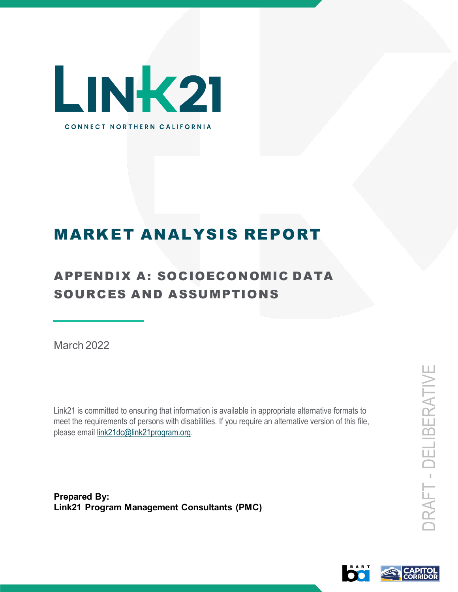

# MARKET ANALYSIS REPORT

# APPENDIX A: SOCIOECONOMIC DATA SOURCES AND ASSUMPTIONS

March 2022

Link21 is committed to ensuring that information is available in appropriate alternative formats to meet the requirements of persons with disabilities. If you require an alternative version of this file, please email [link21dc@link21program.org](mailto:link21dc@link21program.org).

**Prepared By: Link21 Program Management Consultants (PMC)**

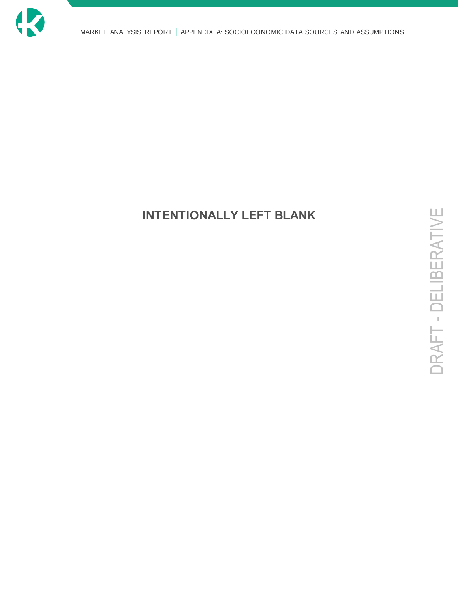

## **INTENTIONALLY LEFT BLANK**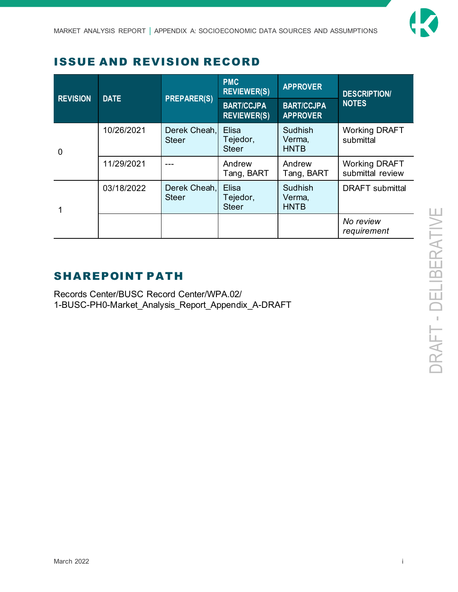

### ISSUE AND REVISION RECORD

| <b>REVISION</b> | <b>DATE</b> | <b>PREPARER(S)</b>           | <b>PMC</b><br><b>REVIEWER(S)</b><br><b>BART/CCJPA</b><br><b>REVIEWER(S)</b> | <b>APPROVER</b><br><b>BART/CCJPA</b><br><b>APPROVER</b> | <b>DESCRIPTION/</b><br><b>NOTES</b>      |  |
|-----------------|-------------|------------------------------|-----------------------------------------------------------------------------|---------------------------------------------------------|------------------------------------------|--|
| $\mathbf 0$     | 10/26/2021  | Derek Cheah,<br><b>Steer</b> | <b>Elisa</b><br>Tejedor,<br><b>Steer</b>                                    | <b>Sudhish</b><br>Verma,<br><b>HNTB</b>                 | <b>Working DRAFT</b><br>submittal        |  |
|                 | 11/29/2021  |                              | Andrew<br>Tang, BART                                                        | Andrew<br>Tang, BART                                    | <b>Working DRAFT</b><br>submittal review |  |
|                 | 03/18/2022  | Derek Cheah,<br><b>Steer</b> | <b>Elisa</b><br>Tejedor,<br><b>Steer</b>                                    | <b>Sudhish</b><br>Verma,<br><b>HNTB</b>                 | <b>DRAFT</b> submittal                   |  |
|                 |             |                              |                                                                             |                                                         | No review<br>requirement                 |  |

### SHAREPOINT PATH

Records Center/BUSC Record Center/WPA.02/ 1-BUSC-PH0-Market\_Analysis\_Report\_Appendix\_A-DRAFT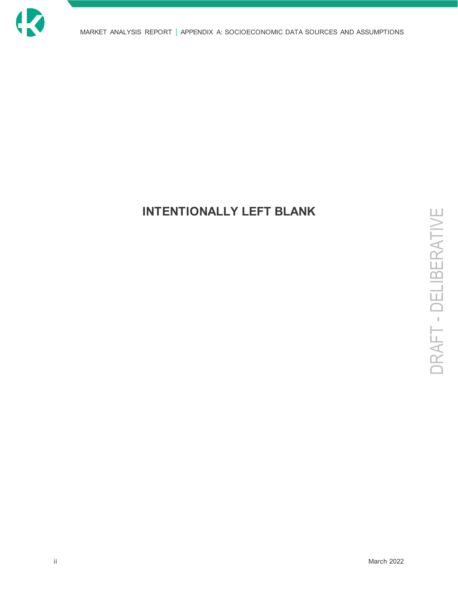

## **INTENTIONALLY LEFT BLANK**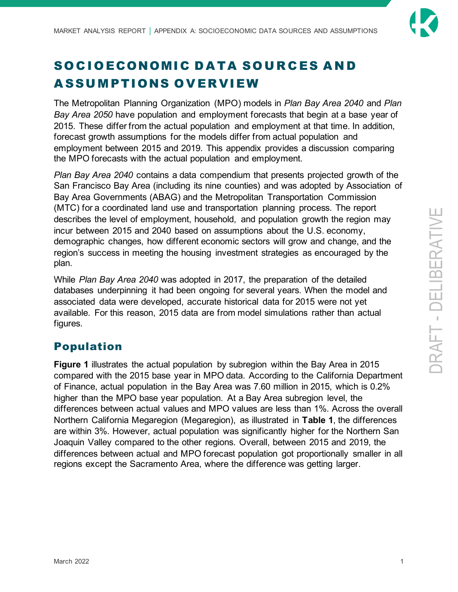

# SOCIOECONOMIC DATA SOURCES AND ASSUMPTIONS OVERVIEW

The Metropolitan Planning Organization (MPO) models in *Plan Bay Area 2040* and *Plan Bay Area 2050* have population and employment forecasts that begin at a base year of 2015. These differ from the actual population and employment at that time. In addition, forecast growth assumptions for the models differ from actual population and employment between 2015 and 2019. This appendix provides a discussion comparing the MPO forecasts with the actual population and employment.

*Plan Bay Area 2040* contains a data compendium that presents projected growth of the San Francisco Bay Area (including its nine counties) and was adopted by Association of Bay Area Governments (ABAG) and the Metropolitan Transportation Commission (MTC) for a coordinated land use and transportation planning process. The report describes the level of employment, household, and population growth the region may incur between 2015 and 2040 based on assumptions about the U.S. economy, demographic changes, how different economic sectors will grow and change, and the region's success in meeting the housing investment strategies as encouraged by the plan.

While *Plan Bay Area 2040* was adopted in 2017, the preparation of the detailed databases underpinning it had been ongoing for several years. When the model and associated data were developed, accurate historical data for 2015 were not yet available. For this reason, 2015 data are from model simulations rather than actual figures.

## Population

**[Figure 1](#page-5-0)** illustrates the actual population by subregion within the Bay Area in 2015 compared with the 2015 base year in MPO data. According to the California Department of Finance, actual population in the Bay Area was 7.60 million in 2015, which is 0.2% higher than the MPO base year population. At a Bay Area subregion level, the differences between actual values and MPO values are less than 1%. Across the overall Northern California Megaregion (Megaregion), as illustrated in **[Table 1](#page-5-1)**, the differences are within 3%. However, actual population was significantly higher for the Northern San Joaquin Valley compared to the other regions. Overall, between 2015 and 2019, the differences between actual and MPO forecast population got proportionally smaller in all regions except the Sacramento Area, where the difference was getting larger.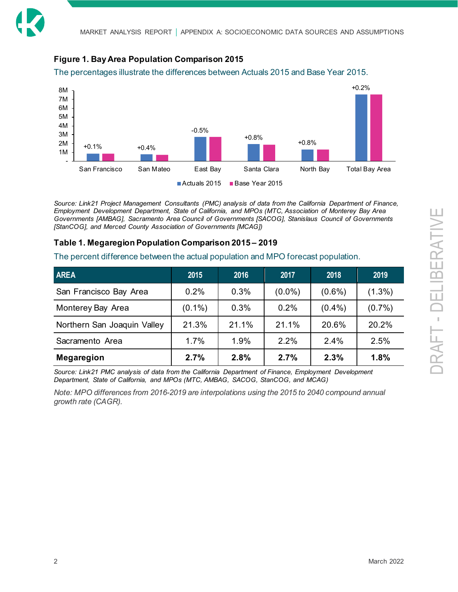### <span id="page-5-0"></span>**Figure 1. Bay Area Population Comparison 2015**

The percentages illustrate the differences between Actuals 2015 and Base Year 2015.



*Source: Link21 Project Management Consultants (PMC) analysis of data from the California Department of Finance, Employment Development Department, State of California, and MPOs (MTC, Association of Monterey Bay Area Governments [AMBAG], Sacramento Area Council of Governments [SACOG], Stanislaus Council of Governments [StanCOG], and Merced County Association of Governments [MCAG])*

#### <span id="page-5-1"></span>**Table 1. Megaregion Population Comparison 2015 – 2019**

The percent difference between the actual population and MPO forecast population.

| <b>AREA</b>                 | 2015      | 2016  | 2017      | 2018      | 2019      |
|-----------------------------|-----------|-------|-----------|-----------|-----------|
| San Francisco Bay Area      | 0.2%      | 0.3%  | $(0.0\%)$ | $(0.6\%)$ | $(1.3\%)$ |
| Monterey Bay Area           | $(0.1\%)$ | 0.3%  | 0.2%      | $(0.4\%)$ | $(0.7\%)$ |
| Northern San Joaquin Valley | 21.3%     | 21.1% | 21.1%     | 20.6%     | 20.2%     |
| Sacramento Area             | 1.7%      | 1.9%  | $2.2\%$   | 2.4%      | 2.5%      |
| <b>Megaregion</b>           | 2.7%      | 2.8%  | 2.7%      | 2.3%      | 1.8%      |

*Source: Link21 PMC analysis of data from the California Department of Finance, Employment Development Department, State of California, and MPOs (MTC, AMBAG, SACOG, StanCOG, and MCAG)*

*Note: MPO differences from 2016-2019 are interpolations using the 2015 to 2040 compound annual growth rate (CAGR).*